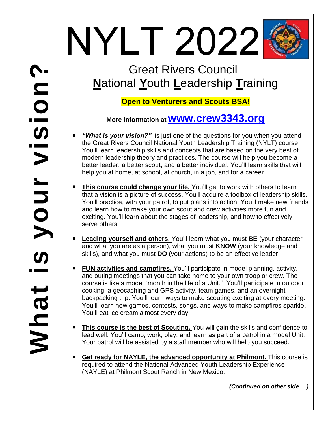# NYLT 2022

# Great Rivers Council **N**ational **Y**outh **L**eadership **T**raining

# **Open to Venturers and Scouts BSA!**

# **More information at www.crew3343.org**

- *"What is your vision?"*is just one of the questions for you when you attend the Great Rivers Council National Youth Leadership Training (NYLT) course. You'll learn leadership skills and concepts that are based on the very best of modern leadership theory and practices. The course will help you become a better leader, a better scout, and a better individual. You'll learn skills that will help you at home, at school, at church, in a job, and for a career.
- **This course could change your life.** You'll get to work with others to learn that a vision is a picture of success. You'll acquire a toolbox of leadership skills. You'll practice, with your patrol, to put plans into action. You'll make new friends and learn how to make your own scout and crew activities more fun and exciting. You'll learn about the stages of leadership, and how to effectively serve others.
- **Leading yourself and others.** You'll learn what you must **BE** (your character and what you are as a person), what you must **KNOW** (your knowledge and skills), and what you must **DO** (your actions) to be an effective leader.
- **FUN activities and campfires.** You'll participate in model planning, activity, and outing meetings that you can take home to your own troop or crew. The course is like a model "month in the life of a Unit." You'll participate in outdoor cooking, a geocaching and GPS activity, team games, and an overnight backpacking trip. You'll learn ways to make scouting exciting at every meeting. You'll learn new games, contests, songs, and ways to make campfires sparkle. You'll eat ice cream almost every day.
- **This course is the best of Scouting.** You will gain the skills and confidence to lead well. You'll camp, work, play, and learn as part of a patrol in a model Unit. Your patrol will be assisted by a staff member who will help you succeed.
- Get ready for NAYLE, the advanced opportunity at Philmont. This course is required to attend the National Advanced Youth Leadership Experience (NAYLE) at Philmont Scout Ranch in New Mexico.

*(Continued on other side …)*